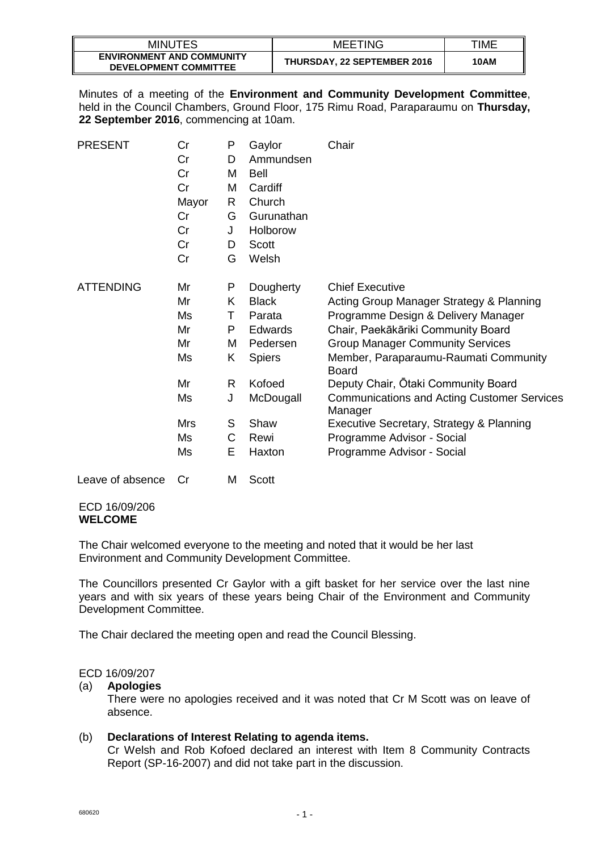| <b>MINUTES</b>                                                   | <b>MEETING</b>                     | TIME |
|------------------------------------------------------------------|------------------------------------|------|
| <b>ENVIRONMENT AND COMMUNITY</b><br><b>DEVELOPMENT COMMITTEE</b> | <b>THURSDAY, 22 SEPTEMBER 2016</b> | 10AM |

Minutes of a meeting of the **Environment and Community Development Committee**, held in the Council Chambers, Ground Floor, 175 Rimu Road, Paraparaumu on **Thursday, 22 September 2016**, commencing at 10am.

| <b>PRESENT</b>   | Cr    | P | Gaylor         | Chair                                                         |
|------------------|-------|---|----------------|---------------------------------------------------------------|
|                  | Cr    | D | Ammundsen      |                                                               |
|                  | Cr    | м | Bell           |                                                               |
|                  | Cr    | M | Cardiff        |                                                               |
|                  | Mayor | R | Church         |                                                               |
|                  | Cr    | G | Gurunathan     |                                                               |
|                  | Cr    | J | Holborow       |                                                               |
|                  | Cr    | D | Scott          |                                                               |
|                  | Cr    | G | Welsh          |                                                               |
| <b>ATTENDING</b> | Mr    | P | Dougherty      | <b>Chief Executive</b>                                        |
|                  | Mr    | K | <b>Black</b>   | Acting Group Manager Strategy & Planning                      |
|                  | Ms    | т | Parata         | Programme Design & Delivery Manager                           |
|                  | Mr    | P | <b>Edwards</b> | Chair, Paekākāriki Community Board                            |
|                  | Mr    | м | Pedersen       | <b>Group Manager Community Services</b>                       |
|                  | Ms    | Κ | <b>Spiers</b>  | Member, Paraparaumu-Raumati Community<br>Board                |
|                  | Mr    | R | Kofoed         | Deputy Chair, Otaki Community Board                           |
|                  | Ms    | J | McDougall      | <b>Communications and Acting Customer Services</b><br>Manager |
|                  | Mrs   | S | Shaw           | Executive Secretary, Strategy & Planning                      |
|                  | Ms    | C | Rewi           | Programme Advisor - Social                                    |
|                  | Ms    | Е | Haxton         | Programme Advisor - Social                                    |
|                  |       |   |                |                                                               |

# Leave of absence Cr M Scott

# ECD 16/09/206 **WELCOME**

The Chair welcomed everyone to the meeting and noted that it would be her last Environment and Community Development Committee.

The Councillors presented Cr Gaylor with a gift basket for her service over the last nine years and with six years of these years being Chair of the Environment and Community Development Committee.

The Chair declared the meeting open and read the Council Blessing.

# ECD 16/09/207

# (a) **Apologies**

There were no apologies received and it was noted that Cr M Scott was on leave of absence.

# (b) **Declarations of Interest Relating to agenda items.**

Cr Welsh and Rob Kofoed declared an interest with Item 8 Community Contracts Report (SP-16-2007) and did not take part in the discussion.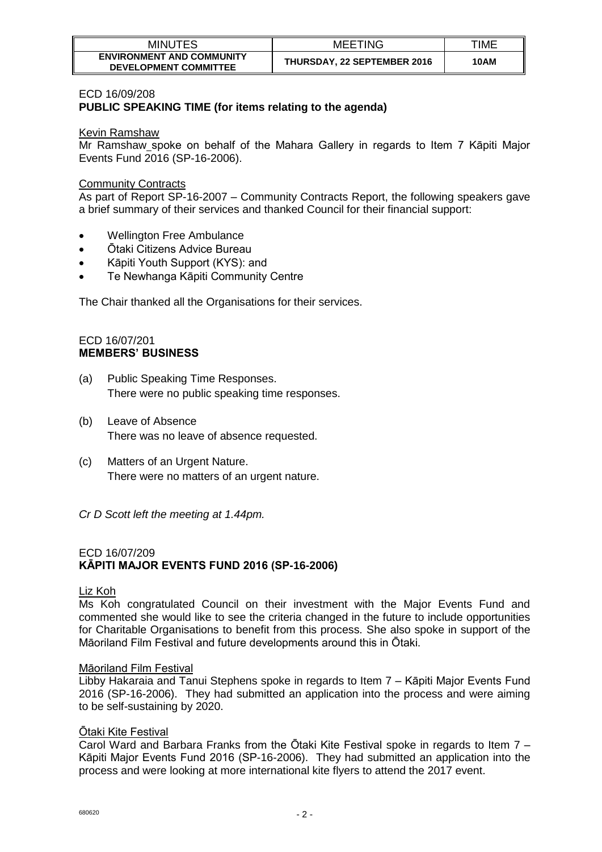| MINUTES                                                          | <b>MEETING</b>                     | TIME |
|------------------------------------------------------------------|------------------------------------|------|
| <b>ENVIRONMENT AND COMMUNITY</b><br><b>DEVELOPMENT COMMITTEE</b> | <b>THURSDAY, 22 SEPTEMBER 2016</b> | 10AM |

#### ECD 16/09/208

# **PUBLIC SPEAKING TIME (for items relating to the agenda)**

#### Kevin Ramshaw

Mr Ramshaw spoke on behalf of the Mahara Gallery in regards to Item 7 Kāpiti Major Events Fund 2016 (SP-16-2006).

#### Community Contracts

As part of Report SP-16-2007 – Community Contracts Report, the following speakers gave a brief summary of their services and thanked Council for their financial support:

- Wellington Free Ambulance
- Ōtaki Citizens Advice Bureau
- Kāpiti Youth Support (KYS): and
- Te Newhanga Kāpiti Community Centre

The Chair thanked all the Organisations for their services.

#### ECD 16/07/201 **MEMBERS' BUSINESS**

- (a) Public Speaking Time Responses. There were no public speaking time responses.
- (b) Leave of Absence There was no leave of absence requested.
- (c) Matters of an Urgent Nature. There were no matters of an urgent nature.
- *Cr D Scott left the meeting at 1.44pm.*

# ECD 16/07/209 **KĀPITI MAJOR EVENTS FUND 2016 (SP-16-2006)**

#### Liz Koh

Ms Koh congratulated Council on their investment with the Major Events Fund and commented she would like to see the criteria changed in the future to include opportunities for Charitable Organisations to benefit from this process. She also spoke in support of the Māoriland Film Festival and future developments around this in Ōtaki.

#### Māoriland Film Festival

Libby Hakaraia and Tanui Stephens spoke in regards to Item 7 – Kāpiti Major Events Fund 2016 (SP-16-2006). They had submitted an application into the process and were aiming to be self-sustaining by 2020.

#### Ōtaki Kite Festival

Carol Ward and Barbara Franks from the Ōtaki Kite Festival spoke in regards to Item 7 – Kāpiti Major Events Fund 2016 (SP-16-2006). They had submitted an application into the process and were looking at more international kite flyers to attend the 2017 event.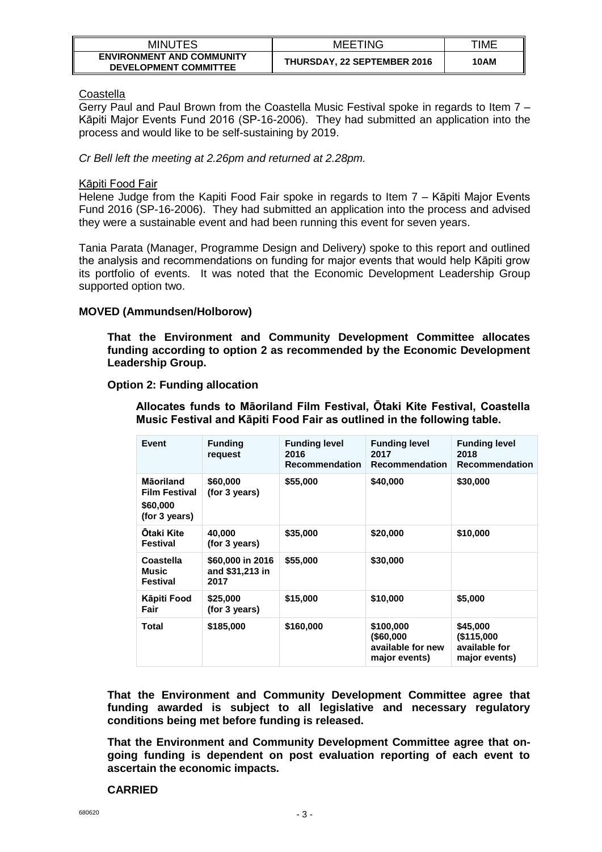| MINUTES                                                          | <b>MEETING</b>                     | TIME |
|------------------------------------------------------------------|------------------------------------|------|
| <b>ENVIRONMENT AND COMMUNITY</b><br><b>DEVELOPMENT COMMITTEE</b> | <b>THURSDAY, 22 SEPTEMBER 2016</b> | 10AM |

# **Coastella**

Gerry Paul and Paul Brown from the Coastella Music Festival spoke in regards to Item 7 – Kāpiti Major Events Fund 2016 (SP-16-2006). They had submitted an application into the process and would like to be self-sustaining by 2019.

# *Cr Bell left the meeting at 2.26pm and returned at 2.28pm.*

### Kāpiti Food Fair

Helene Judge from the Kapiti Food Fair spoke in regards to Item 7 - Kāpiti Major Events Fund 2016 (SP-16-2006). They had submitted an application into the process and advised they were a sustainable event and had been running this event for seven years.

Tania Parata (Manager, Programme Design and Delivery) spoke to this report and outlined the analysis and recommendations on funding for major events that would help Kāpiti grow its portfolio of events. It was noted that the Economic Development Leadership Group supported option two.

# **MOVED (Ammundsen/Holborow)**

**That the Environment and Community Development Committee allocates funding according to option 2 as recommended by the Economic Development Leadership Group.**

# **Option 2: Funding allocation**

**Allocates funds to Māoriland Film Festival, Ōtaki Kite Festival, Coastella Music Festival and Kāpiti Food Fair as outlined in the following table.**

| Event                                                          | <b>Funding</b><br>request                   | <b>Funding level</b><br>2016<br><b>Recommendation</b> | <b>Funding level</b><br>2017<br><b>Recommendation</b>           | <b>Funding level</b><br>2018<br><b>Recommendation</b>    |
|----------------------------------------------------------------|---------------------------------------------|-------------------------------------------------------|-----------------------------------------------------------------|----------------------------------------------------------|
| Māoriland<br><b>Film Festival</b><br>\$60,000<br>(for 3 years) | \$60,000<br>(for 3 years)                   | \$55,000                                              | \$40,000                                                        | \$30,000                                                 |
| Otaki Kite<br>Festival                                         | 40,000<br>(for 3 years)                     | \$35,000                                              | \$20,000                                                        | \$10,000                                                 |
| Coastella<br>Music<br><b>Festival</b>                          | \$60,000 in 2016<br>and \$31,213 in<br>2017 | \$55,000                                              | \$30,000                                                        |                                                          |
| Kāpiti Food<br>Fair                                            | \$25,000<br>(for 3 years)                   | \$15,000                                              | \$10,000                                                        | \$5,000                                                  |
| Total                                                          | \$185,000                                   | \$160,000                                             | \$100,000<br>$($ \$60,000<br>available for new<br>major events) | \$45,000<br>(\$115,000<br>available for<br>major events) |

**That the Environment and Community Development Committee agree that funding awarded is subject to all legislative and necessary regulatory conditions being met before funding is released.**

**That the Environment and Community Development Committee agree that ongoing funding is dependent on post evaluation reporting of each event to ascertain the economic impacts.**

#### **CARRIED**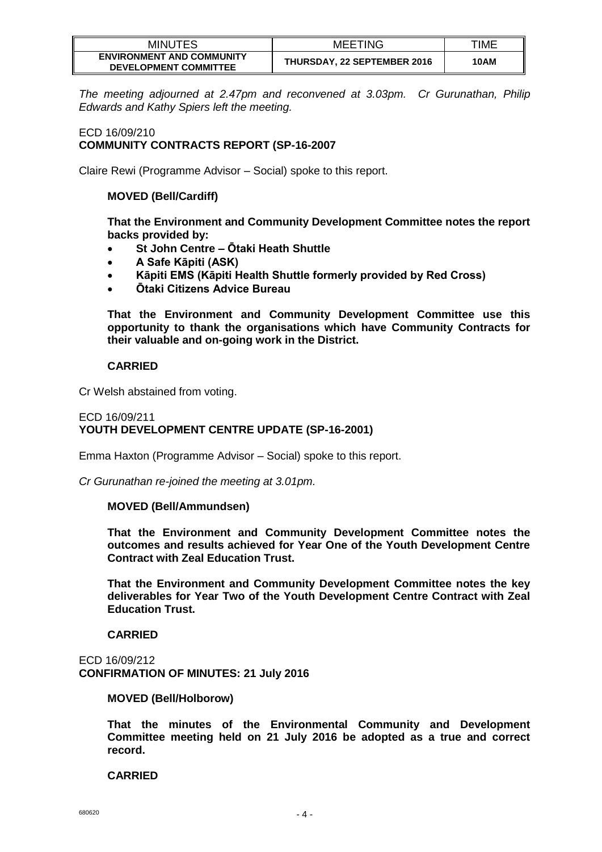| <b>MINUTES</b>                                                   | <b>MEETING</b>                     | TIME |
|------------------------------------------------------------------|------------------------------------|------|
| <b>ENVIRONMENT AND COMMUNITY</b><br><b>DEVELOPMENT COMMITTEE</b> | <b>THURSDAY, 22 SEPTEMBER 2016</b> | 10AM |

*The meeting adjourned at 2.47pm and reconvened at 3.03pm. Cr Gurunathan, Philip Edwards and Kathy Spiers left the meeting.*

# ECD 16/09/210 **COMMUNITY CONTRACTS REPORT (SP-16-2007**

Claire Rewi (Programme Advisor – Social) spoke to this report.

# **MOVED (Bell/Cardiff)**

**That the Environment and Community Development Committee notes the report backs provided by:**

- **St John Centre – Ōtaki Heath Shuttle**
- **A Safe Kāpiti (ASK)**
- **Kāpiti EMS (Kāpiti Health Shuttle formerly provided by Red Cross)**
- **Ōtaki Citizens Advice Bureau**

**That the Environment and Community Development Committee use this opportunity to thank the organisations which have Community Contracts for their valuable and on-going work in the District.**

# **CARRIED**

Cr Welsh abstained from voting.

### ECD 16/09/211 **YOUTH DEVELOPMENT CENTRE UPDATE (SP-16-2001)**

Emma Haxton (Programme Advisor – Social) spoke to this report.

*Cr Gurunathan re-joined the meeting at 3.01pm.*

#### **MOVED (Bell/Ammundsen)**

**That the Environment and Community Development Committee notes the outcomes and results achieved for Year One of the Youth Development Centre Contract with Zeal Education Trust.**

**That the Environment and Community Development Committee notes the key deliverables for Year Two of the Youth Development Centre Contract with Zeal Education Trust.** 

#### **CARRIED**

ECD 16/09/212 **CONFIRMATION OF MINUTES: 21 July 2016**

#### **MOVED (Bell/Holborow)**

**That the minutes of the Environmental Community and Development Committee meeting held on 21 July 2016 be adopted as a true and correct record.**

#### **CARRIED**